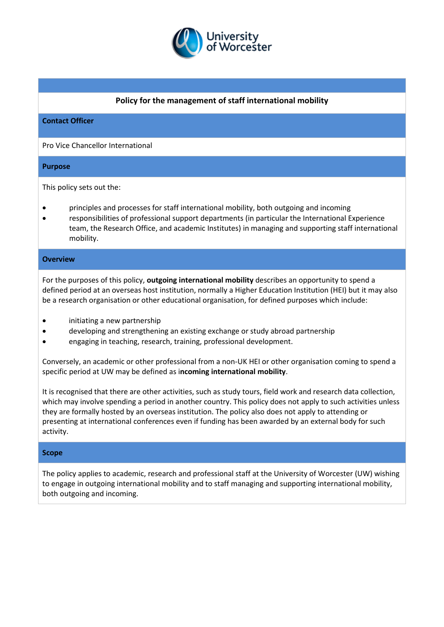

## **Policy for the management of staff international mobility**

### **Contact Officer**

Pro Vice Chancellor International

### **Purpose**

This policy sets out the:

- principles and processes for staff international mobility, both outgoing and incoming
- responsibilities of professional support departments (in particular the International Experience team, the Research Office, and academic Institutes) in managing and supporting staff international mobility.

### **Overview**

For the purposes of this policy, **outgoing international mobility** describes an opportunity to spend a defined period at an overseas host institution, normally a Higher Education Institution (HEI) but it may also be a research organisation or other educational organisation, for defined purposes which include:

- initiating a new partnership
- developing and strengthening an existing exchange or study abroad partnership
- engaging in teaching, research, training, professional development.

Conversely, an academic or other professional from a non-UK HEI or other organisation coming to spend a specific period at UW may be defined as i**ncoming international mobility**.

It is recognised that there are other activities, such as study tours, field work and research data collection, which may involve spending a period in another country. This policy does not apply to such activities unless they are formally hosted by an overseas institution. The policy also does not apply to attending or presenting at international conferences even if funding has been awarded by an external body for such activity.

#### **Scope**

The policy applies to academic, research and professional staff at the University of Worcester (UW) wishing to engage in outgoing international mobility and to staff managing and supporting international mobility, both outgoing and incoming.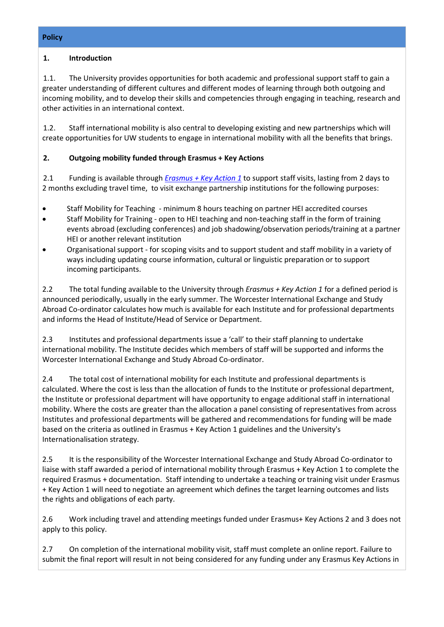## **1. Introduction**

1.1. The University provides opportunities for both academic and professional support staff to gain a greater understanding of different cultures and different modes of learning through both outgoing and incoming mobility, and to develop their skills and competencies through engaging in teaching, research and other activities in an international context.

1.2. Staff international mobility is also central to developing existing and new partnerships which will create opportunities for UW students to engage in international mobility with all the benefits that brings.

# **2. Outgoing mobility funded through Erasmus + Key Actions**

2.1 Funding is available through *[Erasmus + Key Action 1](https://www.erasmusplus.org.uk/key-action-1)* to support staff visits, lasting from 2 days to 2 months excluding travel time, to visit exchange partnership institutions for the following purposes:

- Staff Mobility for Teaching minimum 8 hours teaching on partner HEI accredited courses
- Staff Mobility for Training open to HEI teaching and non-teaching staff in the form of training events abroad (excluding conferences) and job shadowing/observation periods/training at a partner HEI or another relevant institution
- Organisational support for scoping visits and to support student and staff mobility in a variety of ways including updating course information, cultural or linguistic preparation or to support incoming participants.

2.2 The total funding available to the University through *Erasmus + Key Action 1* for a defined period is announced periodically, usually in the early summer. The Worcester International Exchange and Study Abroad Co-ordinator calculates how much is available for each Institute and for professional departments and informs the Head of Institute/Head of Service or Department.

2.3 Institutes and professional departments issue a 'call' to their staff planning to undertake international mobility. The Institute decides which members of staff will be supported and informs the Worcester International Exchange and Study Abroad Co-ordinator.

2.4 The total cost of international mobility for each Institute and professional departments is calculated. Where the cost is less than the allocation of funds to the Institute or professional department, the Institute or professional department will have opportunity to engage additional staff in international mobility. Where the costs are greater than the allocation a panel consisting of representatives from across Institutes and professional departments will be gathered and recommendations for funding will be made based on the criteria as outlined in Erasmus + Key Action 1 guidelines and the University's Internationalisation strategy.

2.5 It is the responsibility of the Worcester International Exchange and Study Abroad Co-ordinator to liaise with staff awarded a period of international mobility through Erasmus + Key Action 1 to complete the required Erasmus + documentation. Staff intending to undertake a teaching or training visit under Erasmus + Key Action 1 will need to negotiate an agreement which defines the target learning outcomes and lists the rights and obligations of each party.

2.6 Work including travel and attending meetings funded under Erasmus+ Key Actions 2 and 3 does not apply to this policy.

2.7 On completion of the international mobility visit, staff must complete an online report. Failure to submit the final report will result in not being considered for any funding under any Erasmus Key Actions in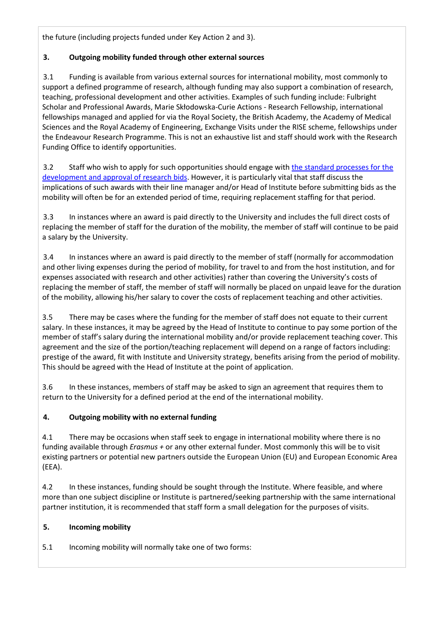the future (including projects funded under Key Action 2 and 3).

# **3. Outgoing mobility funded through other external sources**

3.1 Funding is available from various external sources for international mobility, most commonly to support a defined programme of research, although funding may also support a combination of research, teaching, professional development and other activities. Examples of such funding include: Fulbright Scholar and Professional Awards, Marie Skłodowska-Curie Actions - Research Fellowship, international fellowships managed and applied for via the Royal Society, the British Academy, the Academy of Medical Sciences and the Royal Academy of Engineering, Exchange Visits under the RISE scheme, fellowships under the Endeavour Research Programme. This is not an exhaustive list and staff should work with the Research Funding Office to identify opportunities.

3.2 Staff who wish to apply for such opportunities should engage with [the standard processes for the](http://www.worc.ac.uk/researchfunding/documents/Making_a_Bid_for_Research_and_KE_-_Feb_2015.docx)  [development and approval of research bids.](http://www.worc.ac.uk/researchfunding/documents/Making_a_Bid_for_Research_and_KE_-_Feb_2015.docx) However, it is particularly vital that staff discuss the implications of such awards with their line manager and/or Head of Institute before submitting bids as the mobility will often be for an extended period of time, requiring replacement staffing for that period.

3.3 In instances where an award is paid directly to the University and includes the full direct costs of replacing the member of staff for the duration of the mobility, the member of staff will continue to be paid a salary by the University.

3.4 In instances where an award is paid directly to the member of staff (normally for accommodation and other living expenses during the period of mobility, for travel to and from the host institution, and for expenses associated with research and other activities) rather than covering the University's costs of replacing the member of staff, the member of staff will normally be placed on unpaid leave for the duration of the mobility, allowing his/her salary to cover the costs of replacement teaching and other activities.

3.5 There may be cases where the funding for the member of staff does not equate to their current salary. In these instances, it may be agreed by the Head of Institute to continue to pay some portion of the member of staff's salary during the international mobility and/or provide replacement teaching cover. This agreement and the size of the portion/teaching replacement will depend on a range of factors including: prestige of the award, fit with Institute and University strategy, benefits arising from the period of mobility. This should be agreed with the Head of Institute at the point of application.

3.6 In these instances, members of staff may be asked to sign an agreement that requires them to return to the University for a defined period at the end of the international mobility.

# **4. Outgoing mobility with no external funding**

4.1 There may be occasions when staff seek to engage in international mobility where there is no funding available through *Erasmus +* or any other external funder. Most commonly this will be to visit existing partners or potential new partners outside the European Union (EU) and European Economic Area (EEA).

4.2 In these instances, funding should be sought through the Institute. Where feasible, and where more than one subject discipline or Institute is partnered/seeking partnership with the same international partner institution, it is recommended that staff form a small delegation for the purposes of visits.

# **5. Incoming mobility**

5.1 Incoming mobility will normally take one of two forms: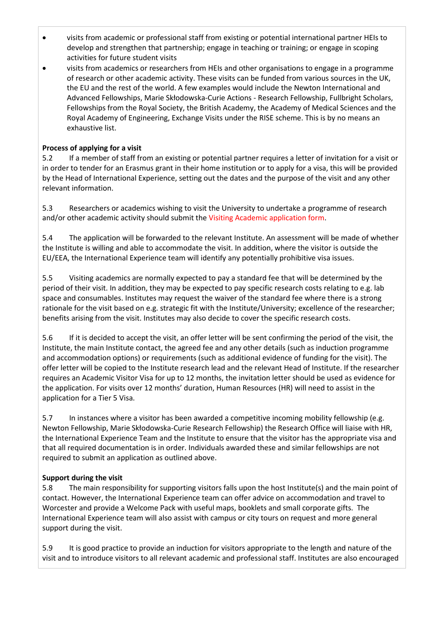- visits from academic or professional staff from existing or potential international partner HEIs to develop and strengthen that partnership; engage in teaching or training; or engage in scoping activities for future student visits
- visits from academics or researchers from HEIs and other organisations to engage in a programme of research or other academic activity. These visits can be funded from various sources in the UK, the EU and the rest of the world. A few examples would include the Newton International and Advanced Fellowships, Marie Skłodowska-Curie Actions - Research Fellowship, Fullbright Scholars, Fellowships from the Royal Society, the British Academy, the Academy of Medical Sciences and the Royal Academy of Engineering, Exchange Visits under the RISE scheme. This is by no means an exhaustive list.

## **Process of applying for a visit**

5.2 If a member of staff from an existing or potential partner requires a letter of invitation for a visit or in order to tender for an Erasmus grant in their home institution or to apply for a visa, this will be provided by the Head of International Experience, setting out the dates and the purpose of the visit and any other relevant information.

5.3 Researchers or academics wishing to visit the University to undertake a programme of research and/or other academic activity should submit the Visiting Academic application form.

5.4 The application will be forwarded to the relevant Institute. An assessment will be made of whether the Institute is willing and able to accommodate the visit. In addition, where the visitor is outside the EU/EEA, the International Experience team will identify any potentially prohibitive visa issues.

5.5 Visiting academics are normally expected to pay a standard fee that will be determined by the period of their visit. In addition, they may be expected to pay specific research costs relating to e.g. lab space and consumables. Institutes may request the waiver of the standard fee where there is a strong rationale for the visit based on e.g. strategic fit with the Institute/University; excellence of the researcher; benefits arising from the visit. Institutes may also decide to cover the specific research costs.

5.6 If it is decided to accept the visit, an offer letter will be sent confirming the period of the visit, the Institute, the main Institute contact, the agreed fee and any other details (such as induction programme and accommodation options) or requirements (such as additional evidence of funding for the visit). The offer letter will be copied to the Institute research lead and the relevant Head of Institute. If the researcher requires an Academic Visitor Visa for up to 12 months, the invitation letter should be used as evidence for the application. For visits over 12 months' duration, Human Resources (HR) will need to assist in the application for a Tier 5 Visa.

5.7 In instances where a visitor has been awarded a competitive incoming mobility fellowship (e.g. Newton Fellowship, Marie Skłodowska-Curie Research Fellowship) the Research Office will liaise with HR, the International Experience Team and the Institute to ensure that the visitor has the appropriate visa and that all required documentation is in order. Individuals awarded these and similar fellowships are not required to submit an application as outlined above.

### **Support during the visit**

5.8 The main responsibility for supporting visitors falls upon the host Institute(s) and the main point of contact. However, the International Experience team can offer advice on accommodation and travel to Worcester and provide a Welcome Pack with useful maps, booklets and small corporate gifts. The International Experience team will also assist with campus or city tours on request and more general support during the visit.

5.9 It is good practice to provide an induction for visitors appropriate to the length and nature of the visit and to introduce visitors to all relevant academic and professional staff. Institutes are also encouraged